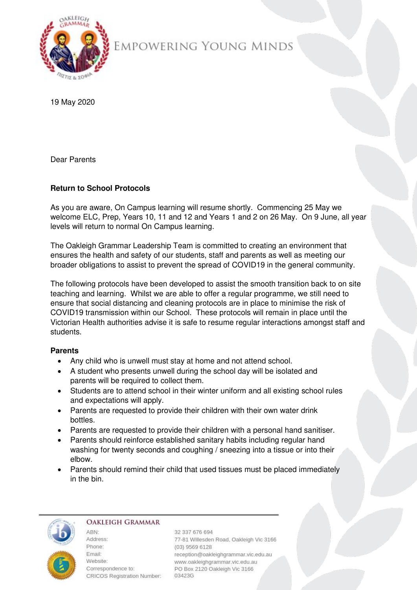

# EMPOWERING YOUNG MINDS

19 May 2020

Dear Parents

## **Return to School Protocols**

As you are aware, On Campus learning will resume shortly. Commencing 25 May we welcome ELC, Prep, Years 10, 11 and 12 and Years 1 and 2 on 26 May. On 9 June, all year levels will return to normal On Campus learning.

The Oakleigh Grammar Leadership Team is committed to creating an environment that ensures the health and safety of our students, staff and parents as well as meeting our broader obligations to assist to prevent the spread of COVID19 in the general community.

The following protocols have been developed to assist the smooth transition back to on site teaching and learning. Whilst we are able to offer a regular programme, we still need to ensure that social distancing and cleaning protocols are in place to minimise the risk of COVID19 transmission within our School. These protocols will remain in place until the Victorian Health authorities advise it is safe to resume regular interactions amongst staff and students.

## **Parents**

- Any child who is unwell must stay at home and not attend school.
- A student who presents unwell during the school day will be isolated and parents will be required to collect them.
- Students are to attend school in their winter uniform and all existing school rules and expectations will apply.
- Parents are requested to provide their children with their own water drink bottles.
- Parents are requested to provide their children with a personal hand sanitiser.
- Parents should reinforce established sanitary habits including regular hand washing for twenty seconds and coughing / sneezing into a tissue or into their elbow.
- Parents should remind their child that used tissues must be placed immediately in the bin.



#### **OAKLEIGH GRAMMAR**

ARN<sup>+</sup> Address: Phone: **Email:** Website: Correspondence to: CRICOS Registration Number: 03423G

32 337 676 694 77-81 Willesden Road, Oakleigh Vic 3166 (03) 9569 6128 reception@oakleighgrammar.vic.edu.au www.oakleighgrammar.vic.edu.au PO Box 2120 Oakleigh Vic 3166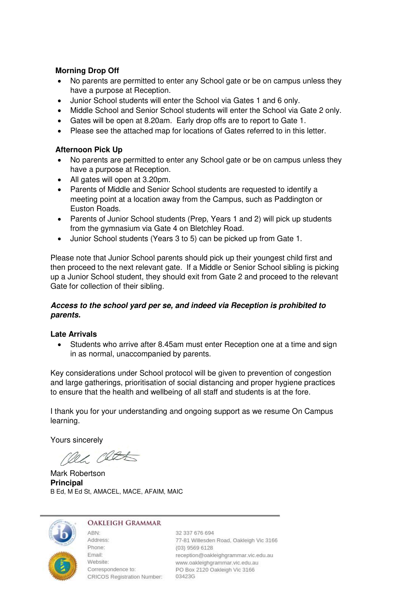## **Morning Drop Off**

- No parents are permitted to enter any School gate or be on campus unless they have a purpose at Reception.
- Junior School students will enter the School via Gates 1 and 6 only.
- Middle School and Senior School students will enter the School via Gate 2 only.
- Gates will be open at 8.20am. Early drop offs are to report to Gate 1.
- Please see the attached map for locations of Gates referred to in this letter.

## **Afternoon Pick Up**

- No parents are permitted to enter any School gate or be on campus unless they have a purpose at Reception.
- All gates will open at 3.20pm.
- Parents of Middle and Senior School students are requested to identify a meeting point at a location away from the Campus, such as Paddington or Euston Roads.
- Parents of Junior School students (Prep, Years 1 and 2) will pick up students from the gymnasium via Gate 4 on Bletchley Road.
- Junior School students (Years 3 to 5) can be picked up from Gate 1.

Please note that Junior School parents should pick up their youngest child first and then proceed to the next relevant gate. If a Middle or Senior School sibling is picking up a Junior School student, they should exit from Gate 2 and proceed to the relevant Gate for collection of their sibling.

## *Access to the school yard per se, and indeed via Reception is prohibited to parents.*

#### **Late Arrivals**

• Students who arrive after 8.45am must enter Reception one at a time and sign in as normal, unaccompanied by parents.

Key considerations under School protocol will be given to prevention of congestion and large gatherings, prioritisation of social distancing and proper hygiene practices to ensure that the health and wellbeing of all staff and students is at the fore.

I thank you for your understanding and ongoing support as we resume On Campus learning.

Yours sincerely

nec class

Mark Robertson **Principal**  B Ed, M Ed St, AMACEL, MACE, AFAIM, MAIC



#### **OAKLEIGH GRAMMAR**

ABN: Address: Phone: Email: CRICOS Registration Number: 03423G

32 337 676 694 77-81 Willesden Road, Oakleigh Vic 3166 (03) 9569 6128 reception@oakleighgrammar.vic.edu.au Email:<br>
Website: www.oakleighgrammar.vic.edu.au<br>
Correspondence to: PO Box 2120 Oakleigh Vic 3166